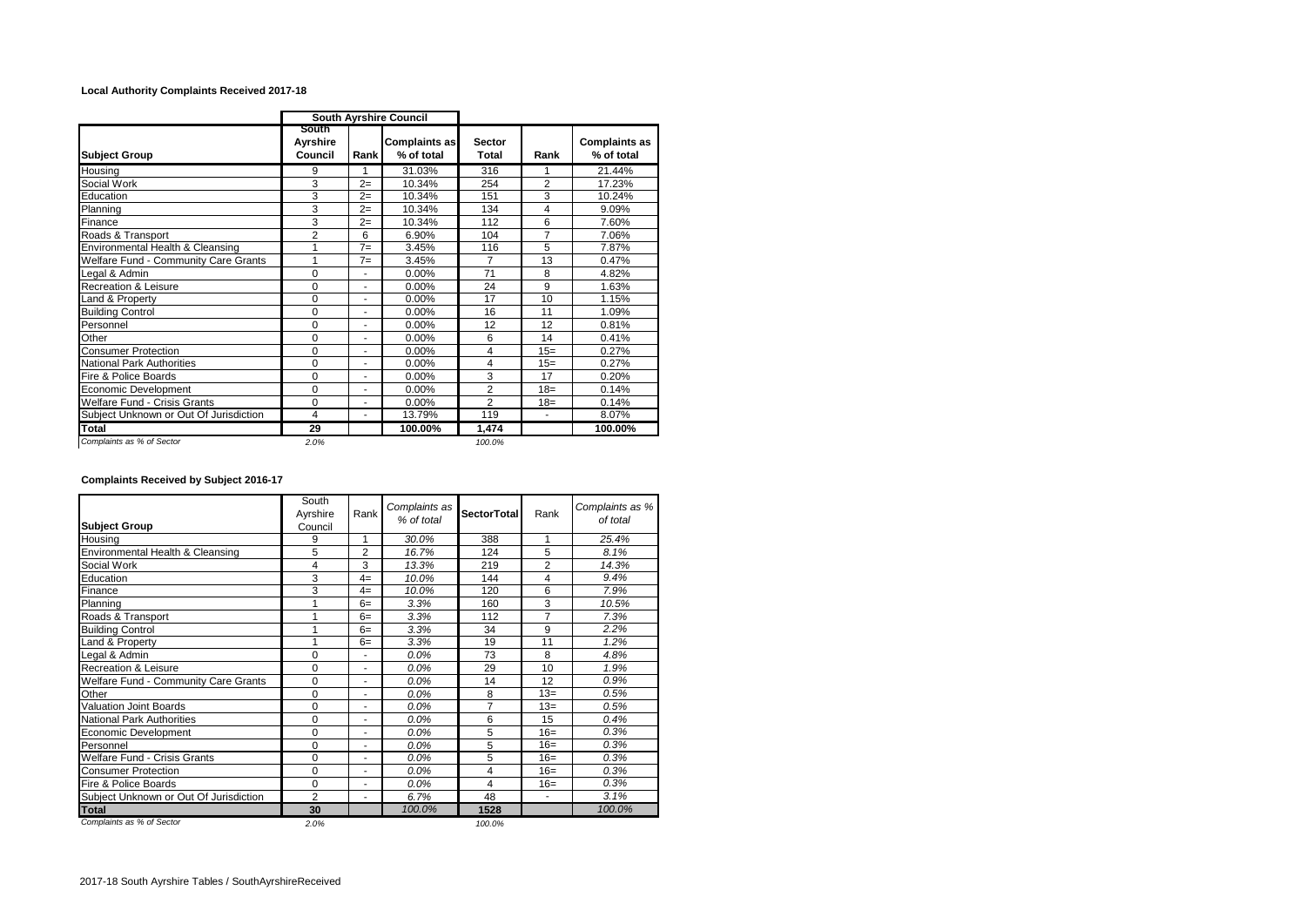## **Local Authority Complaints Received 2017-18**

|                                             | <b>South Ayrshire Council</b> |                |                                    |                        |                |                                    |
|---------------------------------------------|-------------------------------|----------------|------------------------------------|------------------------|----------------|------------------------------------|
| <b>Subject Group</b>                        | South<br>Ayrshire<br>Council  | Rank           | <b>Complaints as</b><br>% of total | <b>Sector</b><br>Total | Rank           | <b>Complaints as</b><br>% of total |
| Housing                                     | 9                             | 1              | 31.03%                             | 316                    |                | 21.44%                             |
| Social Work                                 | 3                             | $2=$           | 10.34%                             | 254                    | $\overline{2}$ | 17.23%                             |
| Education                                   | 3                             | $2=$           | 10.34%                             | 151                    | 3              | 10.24%                             |
| Planning                                    | 3                             | $2=$           | 10.34%                             | 134                    | 4              | 9.09%                              |
| Finance                                     | 3                             | $2=$           | 10.34%                             | 112                    | 6              | 7.60%                              |
| Roads & Transport                           | $\overline{2}$                | 6              | 6.90%                              | 104                    | $\overline{7}$ | 7.06%                              |
| Environmental Health & Cleansing            | 1                             | $7 =$          | 3.45%                              | 116                    | 5              | 7.87%                              |
| <b>Welfare Fund - Community Care Grants</b> | 1                             | $7=$           | 3.45%                              | 7                      | 13             | 0.47%                              |
| Legal & Admin                               | $\mathbf 0$                   | ä,             | 0.00%                              | 71                     | 8              | 4.82%                              |
| Recreation & Leisure                        | $\Omega$                      | $\overline{a}$ | 0.00%                              | 24                     | 9              | 1.63%                              |
| Land & Property                             | $\Omega$                      | ٠              | 0.00%                              | 17                     | 10             | 1.15%                              |
| <b>Building Control</b>                     | 0                             | ٠              | 0.00%                              | 16                     | 11             | 1.09%                              |
| Personnel                                   | $\Omega$                      | ٠              | $0.00\%$                           | 12                     | 12             | 0.81%                              |
| Other                                       | $\Omega$                      | ä.             | 0.00%                              | 6                      | 14             | 0.41%                              |
| <b>Consumer Protection</b>                  | $\Omega$                      | ä,             | 0.00%                              | 4                      | $15=$          | 0.27%                              |
| National Park Authorities                   | $\Omega$                      | ٠              | 0.00%                              | 4                      | $15=$          | 0.27%                              |
| Fire & Police Boards                        | $\Omega$                      | ä,             | 0.00%                              | 3                      | 17             | 0.20%                              |
| Economic Development                        | $\mathbf 0$                   | ٠              | 0.00%                              | $\overline{2}$         | $18=$          | 0.14%                              |
| Welfare Fund - Crisis Grants                | $\mathbf 0$                   | ä,             | 0.00%                              | $\overline{2}$         | $18 =$         | 0.14%                              |
| Subject Unknown or Out Of Jurisdiction      | 4                             | ٠              | 13.79%                             | 119                    | ÷.             | 8.07%                              |
| <b>Total</b>                                | 29                            |                | 100.00%                            | 1,474                  |                | 100.00%                            |
| Complaints as % of Sector                   | 2.0%                          |                |                                    | 100.0%                 |                |                                    |

## **Complaints Received by Subject 2016-17**

| <b>Subject Group</b>                   | South<br>Ayrshire<br>Council | Rank                     | Complaints as<br>% of total | <b>SectorTotal</b> | Rank           | Complaints as %<br>of total |
|----------------------------------------|------------------------------|--------------------------|-----------------------------|--------------------|----------------|-----------------------------|
| Housing                                | 9                            | 1                        | 30.0%                       | 388                | 1              | 25.4%                       |
| Environmental Health & Cleansing       | 5                            | $\overline{2}$           | 16.7%                       | 124                | 5              | 8.1%                        |
| Social Work                            | 4                            | 3                        | 13.3%                       | 219                | $\overline{2}$ | 14.3%                       |
| Education                              | 3                            | $4=$                     | 10.0%                       | 144                | 4              | 9.4%                        |
| Finance                                | 3                            | $4=$                     | 10.0%                       | 120                | 6              | 7.9%                        |
| Planning                               |                              | $6=$                     | 3.3%                        | 160                | 3              | 10.5%                       |
| Roads & Transport                      | 4                            | $6=$                     | 3.3%                        | 112                | $\overline{7}$ | 7.3%                        |
| <b>Building Control</b>                |                              | $6=$                     | 3.3%                        | 34                 | 9              | 2.2%                        |
| Land & Property                        | 1                            | $6=$                     | 3.3%                        | 19                 | 11             | 1.2%                        |
| Legal & Admin                          | 0                            | $\overline{a}$           | 0.0%                        | 73                 | 8              | 4.8%                        |
| <b>Recreation &amp; Leisure</b>        | $\Omega$                     | ٠                        | 0.0%                        | 29                 | 10             | 1.9%                        |
| Welfare Fund - Community Care Grants   | 0                            | ٠                        | 0.0%                        | 14                 | 12             | 0.9%                        |
| Other                                  | $\Omega$                     | $\blacksquare$           | 0.0%                        | 8                  | $13=$          | 0.5%                        |
| Valuation Joint Boards                 | $\mathbf 0$                  | $\overline{\phantom{a}}$ | 0.0%                        | 7                  | $13=$          | 0.5%                        |
| <b>National Park Authorities</b>       | 0                            | ÷                        | 0.0%                        | 6                  | 15             | 0.4%                        |
| Economic Development                   | $\Omega$                     | ٠                        | 0.0%                        | 5                  | $16=$          | 0.3%                        |
| Personnel                              | 0                            | ٠                        | 0.0%                        | 5                  | $16=$          | 0.3%                        |
| Welfare Fund - Crisis Grants           | 0                            | ٠                        | 0.0%                        | 5                  | $16=$          | 0.3%                        |
| <b>Consumer Protection</b>             | $\mathbf 0$                  | ٠                        | 0.0%                        | 4                  | $16=$          | 0.3%                        |
| Fire & Police Boards                   | $\Omega$                     | ٠                        | 0.0%                        | 4                  | $16=$          | 0.3%                        |
| Subject Unknown or Out Of Jurisdiction | $\overline{2}$               | $\blacksquare$           | 6.7%                        | 48                 | $\blacksquare$ | 3.1%                        |
| <b>Total</b>                           | 30                           |                          | 100.0%                      | 1528               |                | 100.0%                      |
| Complaints as % of Sector              | 2.0%                         |                          |                             | 100.0%             |                |                             |